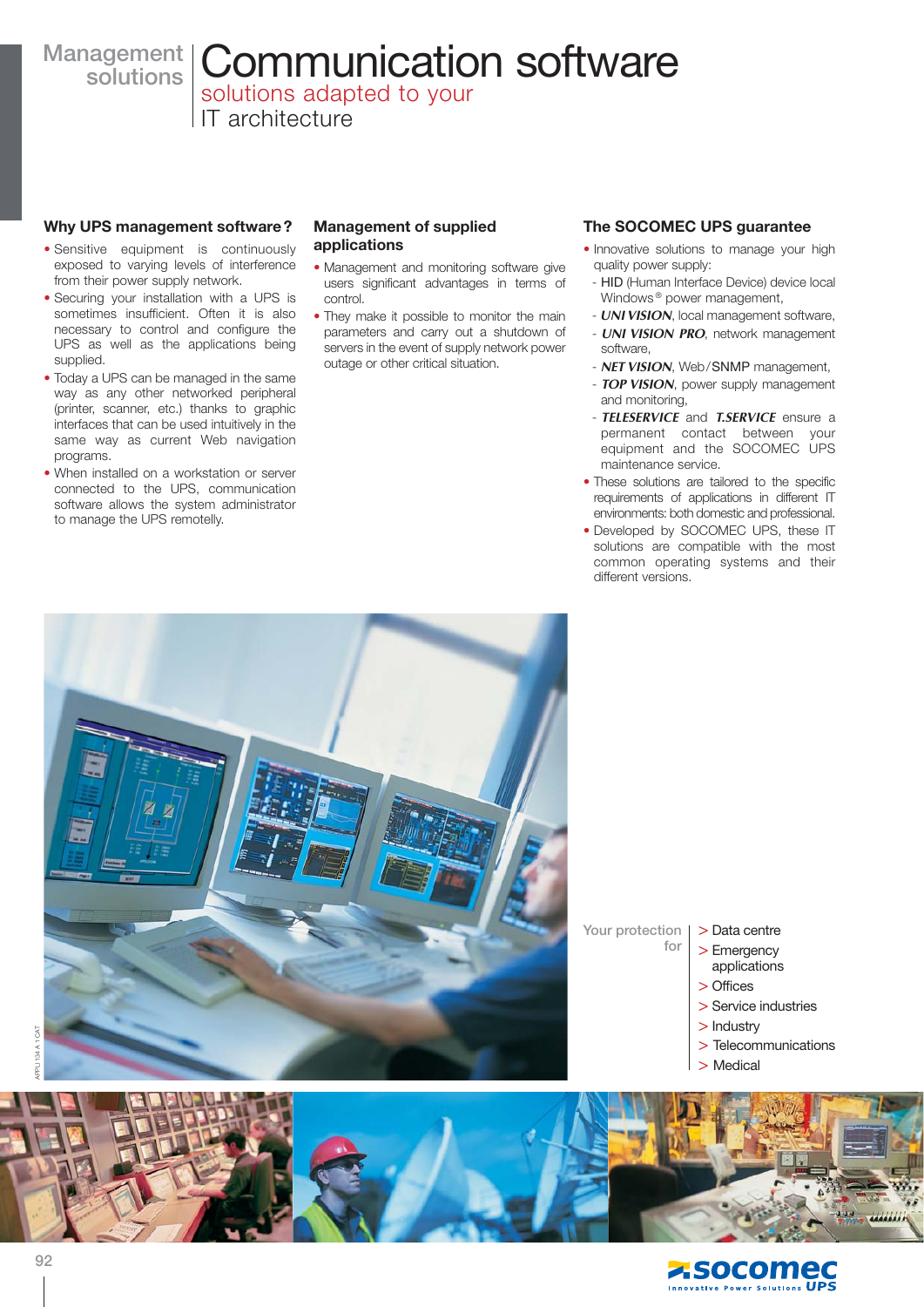# **Management Communication software**

solutions adapted to your IT architecture

# **Why UPS management software?**

- Sensitive equipment is continuously exposed to varying levels of interference from their power supply network.
- Securing your installation with a UPS is sometimes insufficient. Often it is also necessary to control and configure the UPS as well as the applications being supplied.
- Today a UPS can be managed in the same way as any other networked peripheral (printer, scanner, etc.) thanks to graphic interfaces that can be used intuitively in the same way as current Web navigation programs.
- When installed on a workstation or server connected to the UPS, communication software allows the system administrator to manage the UPS remotelly.

## **Management of supplied applications**

- Management and monitoring software give users significant advantages in terms of control.
- They make it possible to monitor the main parameters and carry out a shutdown of servers in the event of supply network power outage or other critical situation.

## **The SOCOMEC UPS guarantee**

- Innovative solutions to manage your high quality power supply:
	- HID (Human Interface Device) device local Windows<sup>®</sup> power management,
- **UNI VISION**, local management software,
- **UNI VISION PRO**, network management software,
- **NET VISION**, Web/SNMP management,
- **TOP VISION**, power supply management and monitoring,
- **TELESERVICE** and **T.SERVICE** ensure a permanent contact between your equipment and the SOCOMEC UPS maintenance service.
- These solutions are tailored to the specific requirements of applications in different IT environments: both domestic and professional.
- Developed by SOCOMEC UPS, these IT solutions are compatible with the most common operating systems and their different versions.



- **Your protection for**
- > Data centre > Emergency
- applications > Offices
- 
- > Service industries
- > Industry
- > Telecommunications
- > Medical



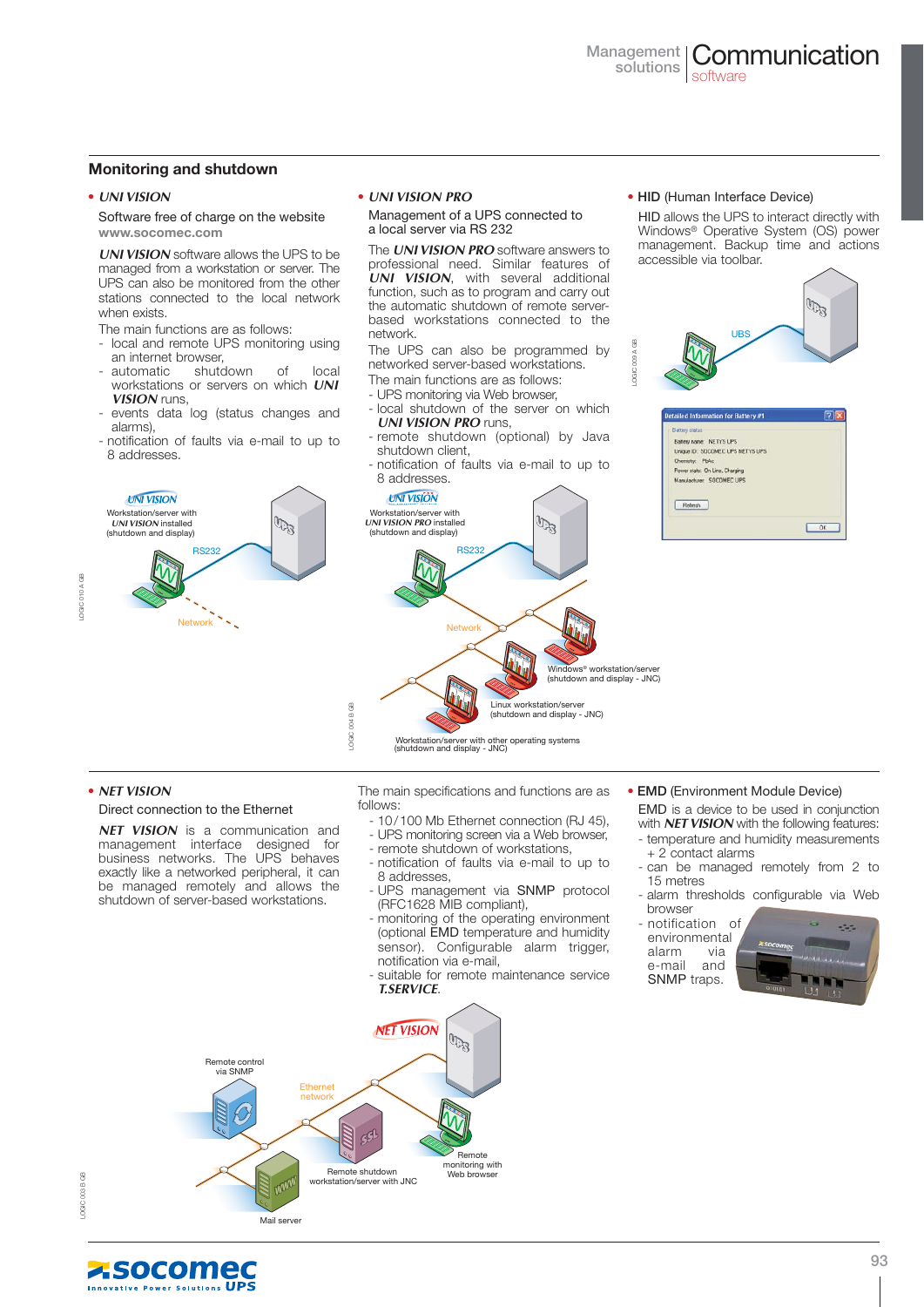## **Monitoring and shutdown**

#### **• UNI VISION**

Software free of charge on the website **www.socomec.com**

**UNI VISION** software allows the UPS to be managed from a workstation or server. The UPS can also be monitored from the other stations connected to the local network when exists.

The main functions are as follows:

- local and remote UPS monitoring using an internet browser,<br>automatic shutdown
- automatic shutdown of local workstations or servers on which **UNI VISION** runs,
- events data log (status changes and alarms),
- notification of faults via e-mail to up to 8 addresses.

 $\mathbb{B}$ 

**• UNI VISION PRO**

Workstation/server with *UNI VISION PRO* installed (shutdown and display)

**UNI VISIÖN** 

Management of a UPS connected to a local server via RS 232

The **UNI VISION PRO** software answers to professional need. Similar features of **UNI VISION**, with several additional function, such as to program and carry out the automatic shutdown of remote serverbased workstations connected to the network.

The UPS can also be programmed by networked server-based workstations.

- The main functions are as follows:
- UPS monitoring via Web browser,

Netv

 $\mathbf{A}$ 

RS232

- local shutdown of the server on which **UNI VISION PRO** runs,
- remote shutdown (optional) by Java shutdown client,
- notification of faults via e-mail to up to 8 addresses.

## **• HID** (Human Interface Device)

HID allows the UPS to interact directly with Windows® Operative System (OS) power management. Backup time and actions accessible via toolbar.





OGIC 010 A GB LOGIC 010 A GB

LOGIC 003 B GB

B GB OGIC 003

#### **• NET VISION**

#### Direct connection to the Ethernet

**Network** 

**DC2** 

Workstation/server with *UNI VISION* installed (shutdown and display)

**UNIVISION** 

**NET VISION** is a communication and management interface designed for business networks. The UPS behaves exactly like a networked peripheral, it can be managed remotely and allows the shutdown of server-based workstations.

The main specifications and functions are as follows:

- 10/100 Mb Ethernet connection (RJ 45),

lorkstation/server with other operating systems<br>hutdown and display - JNC)

Linux workstation/server (shutdown and display - JNC)

 $\mathbb{B}$ 

APRIL MAY JUNE

Windows<sup>®</sup> workstation/server (shutdown and display - JNC)

LOGIC 009 A GB

g

APRIL MAY JUNE

- UPS monitoring screen via a Web browser,
- remote shutdown of workstations,
- notification of faults via e-mail to up to 8 addresses,
- UPS management via SNMP protocol (RFC1628 MIB compliant),
- monitoring of the operating environment (optional EMD temperature and humidity sensor). Configurable alarm trigger, notification via e-mail,
- suitable for remote maintenance service **T.SERVICE**.
- **NET VISION** 3 Remote control via SNMP **Ethernet** network  $\mathcal{G}^{\text{d}}$ Remote monitoring with<br>Web browser Remote shutdown workstation/server with JNC

LOGIC 004 B GB

 $004BGB$ **CGIC** 

- **EMD** (Environment Module Device)
	- EMD is a device to be used in conjunction with **NET VISION** with the following features:
	- temperature and humidity measurements + 2 contact alarms
	- can be managed remotely from 2 to 15 metres
	- alarm thresholds configurable via Web browser
	- notification of environmental alarm via e-mail and SNMP traps.



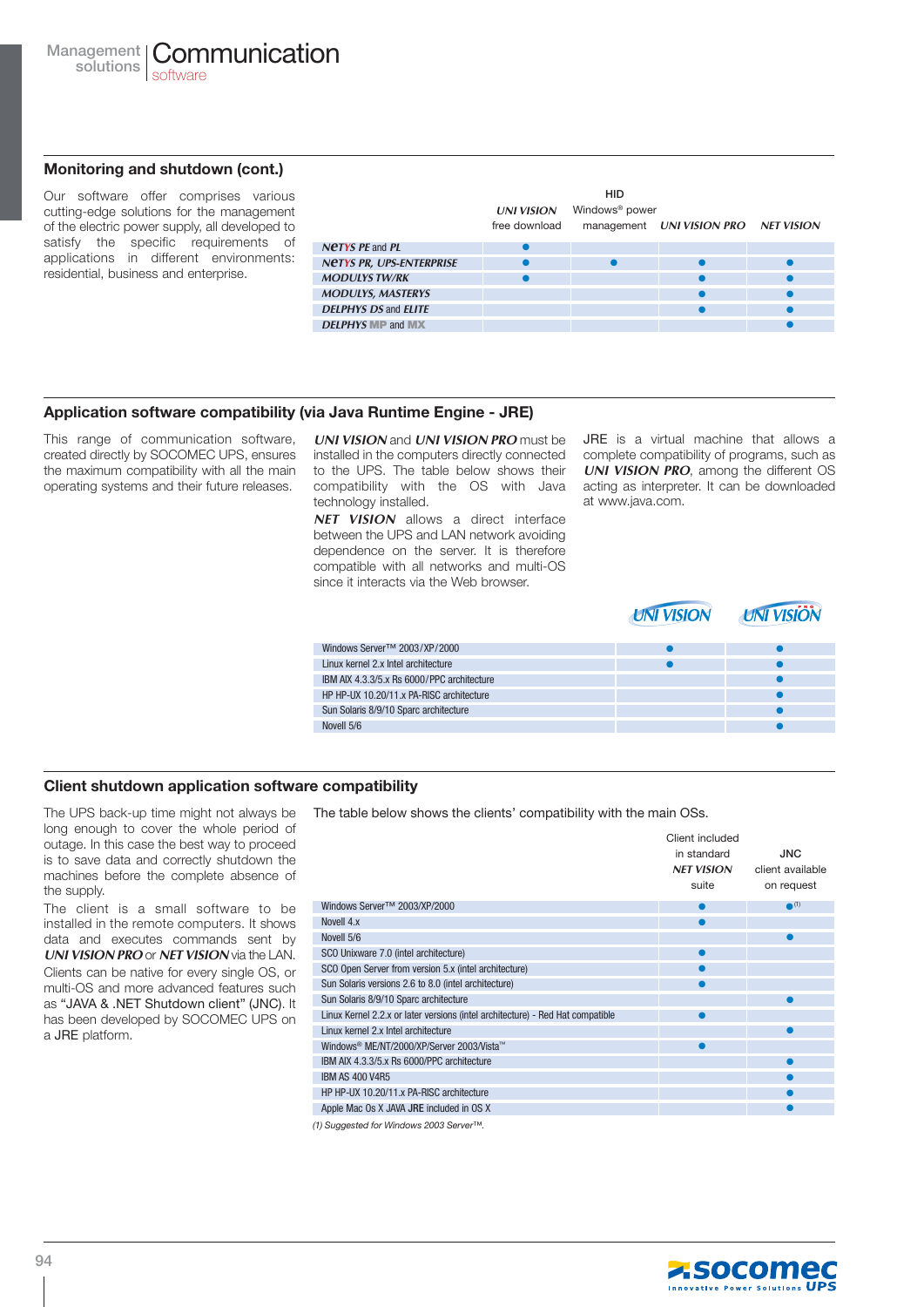

## **Monitoring and shutdown (cont.)**

Our software offer comprises various cutting-edge solutions for the management of the electric power supply, all developed to satisfy the specific requirements of applications in different environments: residential, business and enterprise.

|                                 |                   | HID                        |                                     |  |
|---------------------------------|-------------------|----------------------------|-------------------------------------|--|
|                                 | <b>UNI VISION</b> | Windows <sup>®</sup> power |                                     |  |
|                                 | free download     |                            | management UNIVISION PRO NET VISION |  |
| <b>Netys</b> PE and PL          |                   |                            |                                     |  |
| <b>NETYS PR, UPS-ENTERPRISE</b> |                   |                            |                                     |  |
| <b>MODULYS TW/RK</b>            |                   |                            |                                     |  |
| <b>MODULYS, MASTERYS</b>        |                   |                            |                                     |  |
| <b>DELPHYS DS and ELITE</b>     |                   |                            |                                     |  |
| <b>DELPHYS MP and MX</b>        |                   |                            |                                     |  |
|                                 |                   |                            |                                     |  |

#### **Application software compatibility (via Java Runtime Engine - JRE)**

This range of communication software, created directly by SOCOMEC UPS, ensures the maximum compatibility with all the main operating systems and their future releases.

**UNI VISION** and **UNI VISION PRO** must be installed in the computers directly connected to the UPS. The table below shows their compatibility with the OS with Java technology installed.

**NET VISION** allows a direct interface between the UPS and LAN network avoiding dependence on the server. It is therefore compatible with all networks and multi-OS since it interacts via the Web browser.

JRE is a virtual machine that allows a complete compatibility of programs, such as **UNI VISION PRO**, among the different OS acting as interpreter. It can be downloaded at www.java.com.

**UNI VISION** 

**UNI VISIÖN** 

| Windows Server™ 2003/XP/2000               |  |
|--------------------------------------------|--|
| Linux kernel 2.x Intel architecture        |  |
| IBM AIX 4.3.3/5.x Rs 6000/PPC architecture |  |
| HP HP-UX 10.20/11.x PA-RISC architecture   |  |
| Sun Solaris 8/9/10 Sparc architecture      |  |
| Novell 5/6                                 |  |

#### **Client shutdown application software compatibility**

The UPS back-up time might not always be long enough to cover the whole period of outage. In this case the best way to proceed is to save data and correctly shutdown the machines before the complete absence of the supply.

The client is a small software to be installed in the remote computers. It shows data and executes commands sent by **UNI VISION PRO** or **NET VISION** via the LAN. Clients can be native for every single OS, or multi-OS and more advanced features such as "JAVA & .NET Shutdown client" (JNC). It has been developed by SOCOMEC UPS on a JRE platform.

The table below shows the clients' compatibility with the main OSs.

|                                                                                | Client included<br>in standard<br>NET VISION<br>suite | <b>JNC</b><br>client available<br>on request |
|--------------------------------------------------------------------------------|-------------------------------------------------------|----------------------------------------------|
| Windows Server <sup>™</sup> 2003/XP/2000                                       | ●                                                     | $\bigcirc$ (1)                               |
| Novell 4.x                                                                     |                                                       |                                              |
| Novell 5/6                                                                     |                                                       |                                              |
| SCO Unixware 7.0 (intel architecture)                                          |                                                       |                                              |
| SCO Open Server from version 5.x (intel architecture)                          |                                                       |                                              |
| Sun Solaris versions 2.6 to 8.0 (intel architecture)                           |                                                       |                                              |
| Sun Solaris 8/9/10 Sparc architecture                                          |                                                       |                                              |
| Linux Kernel 2.2.x or later versions (intel architecture) - Red Hat compatible |                                                       |                                              |
| Linux kernel 2.x Intel architecture                                            |                                                       |                                              |
| Windows <sup>®</sup> ME/NT/2000/XP/Server 2003/Vista™                          |                                                       |                                              |
| IBM AIX 4.3.3/5 x Rs 6000/PPC architecture                                     |                                                       | $\bullet$                                    |
| <b>IBM AS 400 V4R5</b>                                                         |                                                       | $\bullet$                                    |
| HP HP-UX 10.20/11 x PA-RISC architecture                                       |                                                       | $\bullet$                                    |
| Apple Mac Os X JAVA JRE included in OS X                                       |                                                       | ●                                            |
| I) Surgested for Windows 2003 ServerTM                                         |                                                       |                                              |

*(1) Suggested for Windows 2003 Server™.*